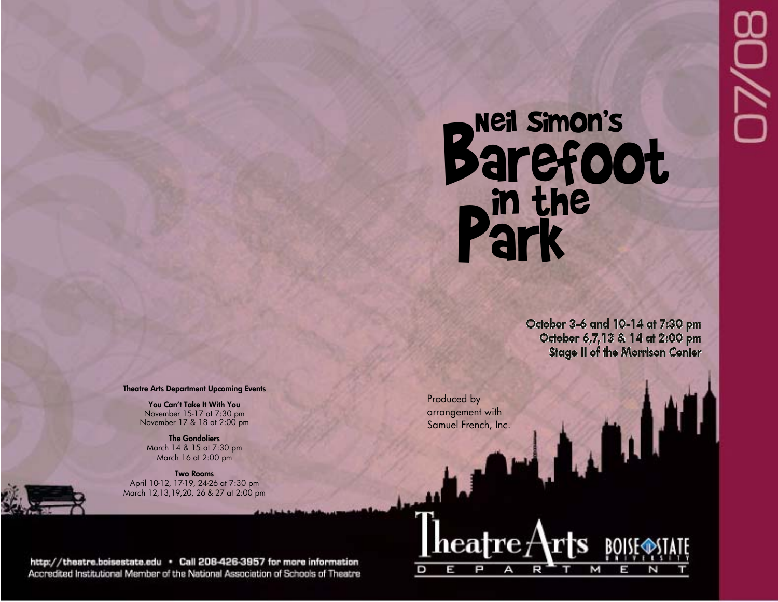

October 3-6 and 10-14 at 7:30 pm October 6,7,13 & 14 at 2:00 pm **Stage II of the Morrison Center** 

**Theatre Arts Department Upcoming Events** 

**You Can't Take It With You**  November 15-17 at 7:30 pm November 17 & 18 at 2:00 pm

**The Gondoliers** March 14 & 15 at 7:30 pm March 16 at 2:00 pm

**Two Rooms**  April 10-12, 17-19, 24-26 at 7:30 pm March 12,13,19,20, 26 & 27 at 2:00 pm

Produced by arrangement with Samuel French, Inc.

hea†re



Accredited Institutional Member of the National Association of Schools of Theatre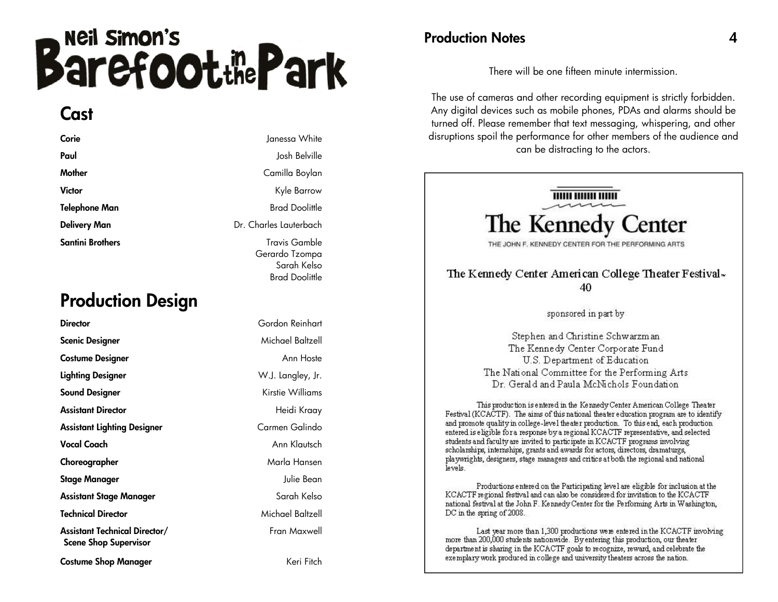# **Neil Simon's arefoot the Park**

# **Cast**

| Corie                   | Janessa White                   |
|-------------------------|---------------------------------|
| Paul                    | Josh Belville                   |
| Mother                  | Camilla Boylan                  |
| Victor                  | Kyle Barrow                     |
| <b>Telephone Man</b>    | <b>Brad Doolittle</b>           |
| <b>Delivery Man</b>     | Dr. Charles Lauterbach          |
| <b>Santini Brothers</b> | Travis Gamble<br>Gerardo Tzompa |

# **Production Design**

| Director                                                      | Gordon Reinhart   |
|---------------------------------------------------------------|-------------------|
| Scenic Designer                                               | Michael Baltzell  |
| Costume Designer                                              | Ann Hoste         |
| Lighting Designer                                             | W.J. Langley, Jr. |
| Sound Designer                                                | Kirstie Williams  |
| Assistant Director                                            | Heidi Kraay       |
| Assistant Lighting Designer                                   | Carmen Galindo    |
| Vocal Coach                                                   | Ann Klautsch      |
| Choreographer                                                 | Marla Hansen      |
| Stage Manager                                                 | Julie Bean        |
| Assistant Stage Manager                                       | Sarah Kelso       |
| Technical Director                                            | Michael Baltzell  |
| Assistant Technical Director/<br><b>Scene Shop Supervisor</b> | Fran Maxwell      |
| Costume Shop Manager                                          | Keri Fitch        |

Gerardo Tzompa Sarah Kelso Brad Doolittle

| Gordon Reinhart   |  |
|-------------------|--|
| Michael Baltzell  |  |
| Ann Hoste         |  |
| W.J. Langley, Jr. |  |
| Kirstie Williams  |  |
| Heidi Kraay       |  |
| Carmen Galindo    |  |
| Ann Klautsch      |  |
| Marla Hansen      |  |
| Julie Bean        |  |
| Sarah Kelso       |  |
| Michael Baltzell  |  |
| Fran Maxwell      |  |
|                   |  |
|                   |  |

Production Notes 4

There will be one fifteen minute intermission.

The use of cameras and other recording equipment is strictly forbidden. Any digital devices such as mobile phones, PDAs and alarms should be turned off. Please remember that text messaging, whispering, and other disruptions spoil the performance for other members of the audience and can be distracting to the actors.



students and faculty are invited to participate in KCACTF programs involving scholarships, internships, grants and awards for actors, directors, dramaturgs, playwrights, designers, stage managers and critics at both the regional and national levels.

Productions entered on the Participating level are eligible for inclusion at the KCACTF regional festival and can also be considered for invitation to the KCACTF national festival at the John F. Kennedy Center for the Performing Arts in Washington, DC in the spring of 2008.

Last year more than 1,300 productions were entered in the KCACTF involving more than 200,000 students nationwide. By entering this production, our theater department is sharing in the KCACTF goals to recognize, reward, and celebrate the exemplary work produced in college and university theaters across the nation.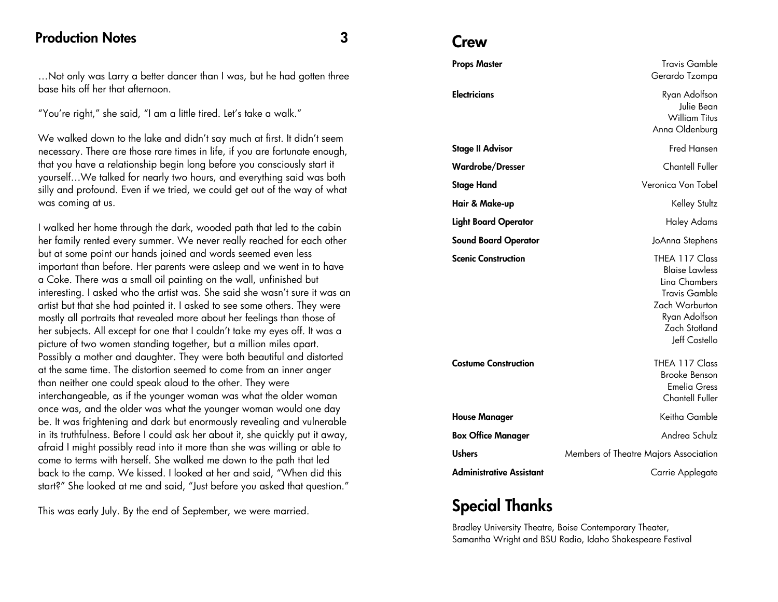## **Production Notes** 3

…Not only was Larry a better dancer than I was, but he had gotten three base hits off her that afternoon.

"You're right," she said, "I am a little tired. Let's take a walk."

We walked down to the lake and didn't say much at first. It didn't seem necessary. There are those rare times in life, if you are fortunate enough, that you have a relationship begin long before you consciously start it yourself…We talked for nearly two hours, and everything said was both silly and profound. Even if we tried, we could get out of the way of what was coming at us.

I walked her home through the dark, wooded path that led to the cabin her family rented every summer. We never really reached for each other but at some point our hands joined and words seemed even less important than before. Her parents were asleep and we went in to have a Coke. There was a small oil painting on the wall, unfinished but interesting. I asked who the artist was. She said she wasn't sure it was an artist but that she had painted it. I asked to see some others. They were mostly all portraits that revealed more about her feelings than those of her subjects. All except for one that I couldn't take my eyes off. It was a <sup>p</sup>icture of two women standing together, but a million miles apart. Possibly a mother and daughter. They were both beautiful and distorted at the same time. The distortion seemed to come from an inner anger than neither one could speak aloud to the other. They were interchangeable, as if the younger woman was what the older woman once was, and the older was what the younger woman would one day be. It was frightening and dark but enormously revealing and vulnerable in its truthfulness. Before I could ask her about it, she quickly put it away, afraid I might possibly read into it more than she was willing or able to come to terms with herself. She walked me down to the path that led back to the camp. We kissed. I looked at her and said, "When did this start?" She looked at me and said, "Just before you asked that question."

This was early July. By the end of September, we were married.

## **Crew**

**Stage II Advisor Example 20 and Stage II Advisor Fred Hansen** 

**Sound Board Operator Sound Board Operator JoAnna Stephens** 

**Scenic Construction THEA 117 Class** 

Props Master **Travis Gamble** Gerardo Tzompa

**Electricians Ryan Adolfson** Julie Bean William Titus Anna Oldenburg

**Wardrobe/Dresser Chantell Fuller** 

**Stage Hand** Veronica Von Tobel

**Hair & Make-up Kelley Stultz** 

**Light Board Operator 1988** and the Haley Adams

Blaise Lawless Lina Chambers Travis Gamble Zach Warburton Ryan Adolfson Zach Stotland Jeff Costello

| <b>Costume Construction</b>     | THEA 117 Class<br><b>Brooke Benson</b><br><b>Emelia Gress</b><br>Chantell Fuller |
|---------------------------------|----------------------------------------------------------------------------------|
| <b>House Manager</b>            | Keitha Gamble                                                                    |
| <b>Box Office Manager</b>       | Andrea Schulz                                                                    |
| <b>Ushers</b>                   | Members of Theatre Majors Association                                            |
| <b>Administrative Assistant</b> | Carrie Applegate                                                                 |

# **Special Thanks**

Bradley University Theatre, Boise Contemporary Theater, Samantha Wright and BSU Radio, Idaho Shakespeare Festival